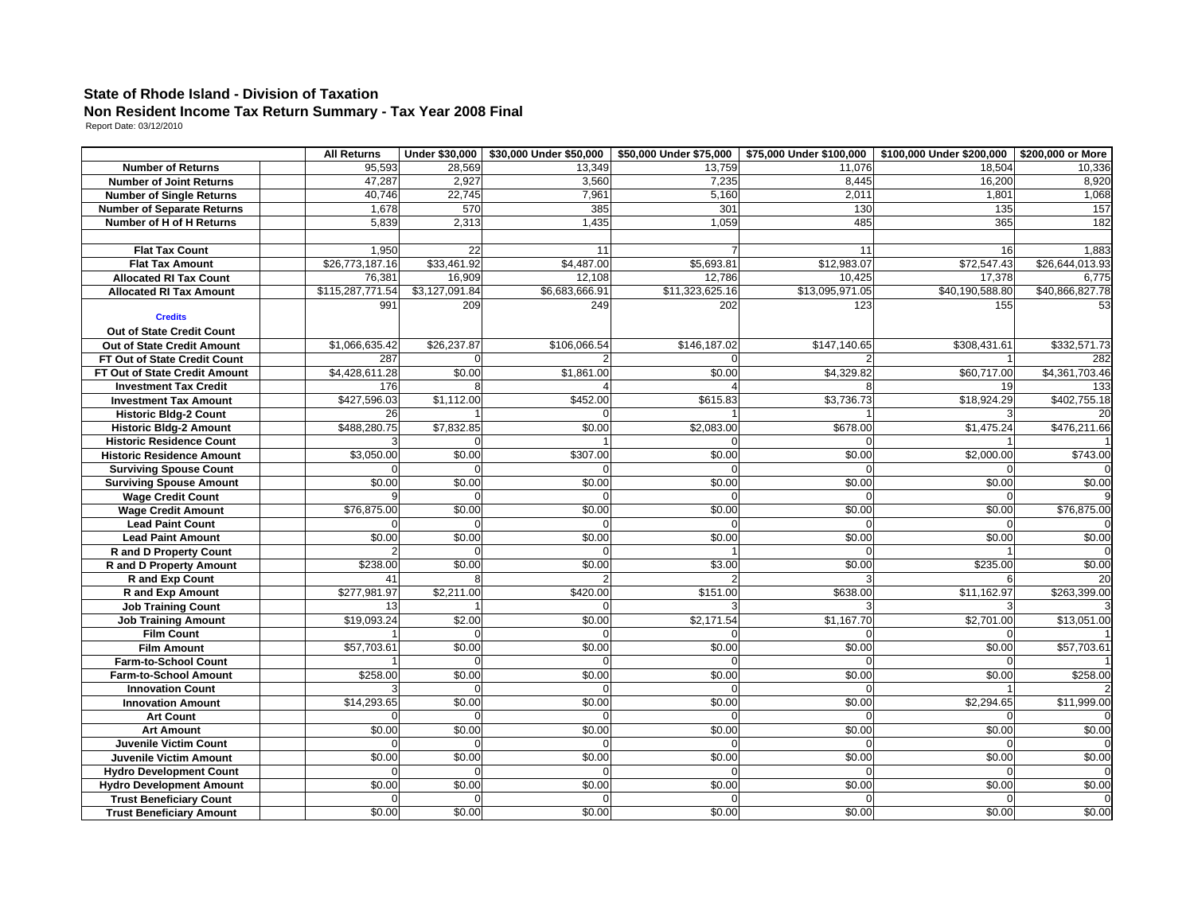## **State of Rhode Island - Division of Taxation Non Resident Income Tax Return Summary - Tax Year 2008 Final** Report Date: 03/12/2010

|                                                                 | <b>All Returns</b> |                |                |                 |                 | Under \$30,000   \$30,000 Under \$50,000   \$50,000 Under \$75,000   \$75,000 Under \$100,000   \$100,000 Under \$200,000   \$200,000 or More |                 |
|-----------------------------------------------------------------|--------------------|----------------|----------------|-----------------|-----------------|-----------------------------------------------------------------------------------------------------------------------------------------------|-----------------|
| <b>Number of Returns</b>                                        | 95,593             | 28,569         | 13,349         | 13,759          | 11.076          | 18.504                                                                                                                                        | 10,336          |
| <b>Number of Joint Returns</b>                                  | 47.287             | 2.927          | 3,560          | 7.235           | 8.445           | 16,200                                                                                                                                        | 8,920           |
| <b>Number of Single Returns</b>                                 | 40,746             | 22,745         | 7,961          | 5,160           | 2,011           | 1,801                                                                                                                                         | 1,068           |
| <b>Number of Separate Returns</b>                               | 1,678              | 570            | 385            | 301             | 130             | 135                                                                                                                                           | 157             |
| Number of H of H Returns                                        | 5,839              | 2,313          | 1,435          | 1,059           | 485             | 365                                                                                                                                           | 182             |
|                                                                 |                    |                |                |                 |                 |                                                                                                                                               |                 |
| <b>Flat Tax Count</b>                                           | 1,950              | 22             | 11             |                 | 11              | 16                                                                                                                                            | 1,883           |
| <b>Flat Tax Amount</b>                                          | \$26,773,187.16    | \$33,461.92    | \$4,487.00     | \$5,693.81      | \$12,983.07     | \$72,547.43                                                                                                                                   | \$26,644,013.93 |
| <b>Allocated RI Tax Count</b>                                   | 76,381             | 16,909         | 12,108         | 12,786          | 10,425          | 17,378                                                                                                                                        | 6,775           |
| <b>Allocated RI Tax Amount</b>                                  | \$115,287,771.54   | \$3,127,091.84 | \$6,683,666.91 | \$11,323,625.16 | \$13,095,971.05 | \$40,190,588.80                                                                                                                               | \$40,866,827.78 |
|                                                                 | 991                | 209            | 249            | 202             | 123             | 155                                                                                                                                           | 53              |
| <b>Credits</b>                                                  |                    |                |                |                 |                 |                                                                                                                                               |                 |
| Out of State Credit Count                                       |                    |                |                |                 |                 |                                                                                                                                               |                 |
| Out of State Credit Amount                                      | \$1,066,635.42     | \$26,237.87    | \$106,066.54   | \$146,187.02    | \$147,140.65    | \$308,431.61                                                                                                                                  | \$332,571.73    |
| FT Out of State Credit Count                                    | 287                |                |                |                 |                 |                                                                                                                                               | 282             |
| FT Out of State Credit Amount                                   | \$4,428,611.28     | \$0.00         | \$1,861.00     | \$0.00          | \$4,329.82      | \$60,717.00                                                                                                                                   | \$4,361,703.46  |
| <b>Investment Tax Credit</b>                                    | 176                |                |                |                 |                 | 19                                                                                                                                            | 133             |
| <b>Investment Tax Amount</b>                                    | \$427,596.03       | \$1,112.00     | \$452.00       | \$615.83        | \$3,736.73      | \$18,924.29                                                                                                                                   | \$402,755.18    |
| <b>Historic Bldg-2 Count</b>                                    | 26                 |                |                |                 |                 |                                                                                                                                               | 20              |
| <b>Historic Bldg-2 Amount</b>                                   | \$488,280.75       | \$7,832.85     | \$0.00         | \$2,083.00      | \$678.00        | \$1,475.24                                                                                                                                    | \$476,211.66    |
| <b>Historic Residence Count</b>                                 |                    |                |                |                 |                 |                                                                                                                                               |                 |
| <b>Historic Residence Amount</b>                                | \$3,050.00         | \$0.00         | \$307.00       | \$0.00          | \$0.00          | \$2,000.00                                                                                                                                    | \$743.00        |
| <b>Surviving Spouse Count</b>                                   |                    |                |                |                 |                 |                                                                                                                                               |                 |
| <b>Surviving Spouse Amount</b>                                  | \$0.00             | \$0.00         | \$0.00         | \$0.00          | \$0.00          | \$0.00                                                                                                                                        | \$0.00          |
| <b>Wage Credit Count</b>                                        |                    |                |                |                 |                 |                                                                                                                                               |                 |
| <b>Wage Credit Amount</b>                                       | \$76,875.00        | \$0.00         | \$0.00         | \$0.00          | \$0.00          | \$0.00                                                                                                                                        | \$76,875.00     |
| <b>Lead Paint Count</b>                                         |                    |                |                |                 |                 |                                                                                                                                               |                 |
| <b>Lead Paint Amount</b>                                        | \$0.00             | \$0.00         | \$0.00         | \$0.00          | \$0.00          | \$0.00                                                                                                                                        | \$0.00          |
| <b>R</b> and D Property Count                                   |                    |                |                |                 |                 |                                                                                                                                               |                 |
| <b>R</b> and D Property Amount                                  | \$238.00           | \$0.00         | \$0.00         | \$3.00          | \$0.00          | \$235.00                                                                                                                                      | \$0.00          |
| R and Exp Count                                                 | 41                 |                |                |                 |                 |                                                                                                                                               |                 |
| <b>R</b> and Exp Amount                                         | \$277,981.97       | \$2,211.00     | \$420.00       | \$151.00        | \$638.00        | \$11,162.97                                                                                                                                   | \$263,399.00    |
| <b>Job Training Count</b>                                       | 13<br>\$19,093.24  | \$2.00         | \$0.00         | \$2,171.54      | \$1,167.70      | \$2,701.00                                                                                                                                    |                 |
| <b>Job Training Amount</b>                                      |                    |                |                |                 |                 |                                                                                                                                               | \$13,051.00     |
| <b>Film Count</b>                                               |                    | \$0.00         | \$0.00         | \$0.00          |                 |                                                                                                                                               |                 |
| <b>Film Amount</b>                                              | \$57,703.61        |                |                |                 | \$0.00          | \$0.00                                                                                                                                        | \$57,703.61     |
| Farm-to-School Count                                            | \$258.00           | \$0.00         | \$0.00         | \$0.00          | \$0.00          | \$0.00                                                                                                                                        | \$258.00        |
| <b>Farm-to-School Amount</b>                                    |                    |                |                | $\Omega$        |                 |                                                                                                                                               |                 |
| <b>Innovation Count</b>                                         | \$14,293.65        | \$0.00         | \$0.00         | \$0.00          | \$0.00          | \$2,294.65                                                                                                                                    |                 |
| <b>Innovation Amount</b>                                        |                    |                |                |                 |                 |                                                                                                                                               | \$11,999.00     |
| <b>Art Count</b><br><b>Art Amount</b>                           | \$0.00             | \$0.00         | \$0.00         | \$0.00          | \$0.00          | \$0.00                                                                                                                                        | \$0.00          |
| Juvenile Victim Count                                           |                    |                |                | U               |                 | $\Omega$                                                                                                                                      |                 |
|                                                                 | \$0.00             | \$0.00         | \$0.00         | \$0.00          | \$0.00          | \$0.00                                                                                                                                        | \$0.00          |
| <b>Juvenile Victim Amount</b><br><b>Hydro Development Count</b> |                    |                |                | $\Omega$        |                 | $\Omega$                                                                                                                                      |                 |
| <b>Hydro Development Amount</b>                                 | \$0.00             | \$0.00         | \$0.00         | \$0.00          | \$0.00          | \$0.00                                                                                                                                        | \$0.00          |
|                                                                 |                    |                |                |                 |                 |                                                                                                                                               |                 |
| <b>Trust Beneficiary Count</b>                                  | \$0.00             | \$0.00         | \$0.00         | \$0.00          | \$0.00          | \$0.00                                                                                                                                        | \$0.00          |
| <b>Trust Beneficiary Amount</b>                                 |                    |                |                |                 |                 |                                                                                                                                               |                 |